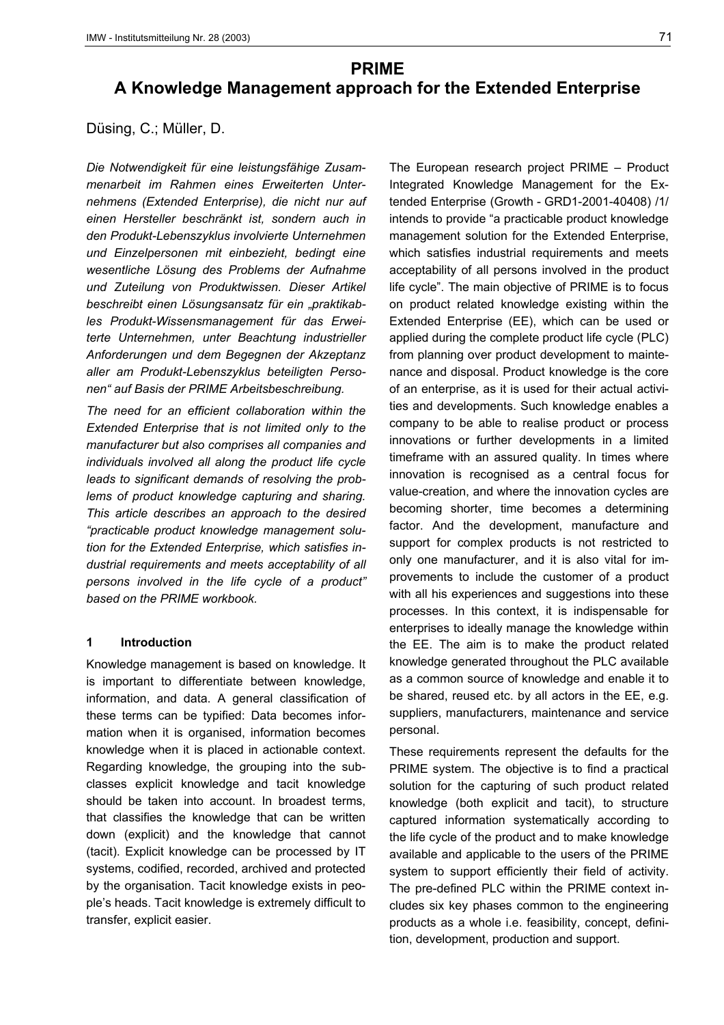# **PRIME A Knowledge Management approach for the Extended Enterprise**

Düsing, C.; Müller, D.

*Die Notwendigkeit für eine leistungsfähige Zusammenarbeit im Rahmen eines Erweiterten Unternehmens (Extended Enterprise), die nicht nur auf einen Hersteller beschränkt ist, sondern auch in den Produkt-Lebenszyklus involvierte Unternehmen und Einzelpersonen mit einbezieht, bedingt eine wesentliche Lösung des Problems der Aufnahme und Zuteilung von Produktwissen. Dieser Artikel beschreibt einen Lösungsansatz für ein "praktikables Produkt-Wissensmanagement für das Erweiterte Unternehmen, unter Beachtung industrieller Anforderungen und dem Begegnen der Akzeptanz aller am Produkt-Lebenszyklus beteiligten Personen" auf Basis der PRIME Arbeitsbeschreibung.*

*The need for an efficient collaboration within the Extended Enterprise that is not limited only to the manufacturer but also comprises all companies and individuals involved all along the product life cycle leads to significant demands of resolving the problems of product knowledge capturing and sharing. This article describes an approach to the desired "practicable product knowledge management solution for the Extended Enterprise, which satisfies industrial requirements and meets acceptability of all persons involved in the life cycle of a product" based on the PRIME workbook.*

# **1 Introduction**

Knowledge management is based on knowledge. It is important to differentiate between knowledge, information, and data. A general classification of these terms can be typified: Data becomes information when it is organised, information becomes knowledge when it is placed in actionable context. Regarding knowledge, the grouping into the subclasses explicit knowledge and tacit knowledge should be taken into account. In broadest terms, that classifies the knowledge that can be written down (explicit) and the knowledge that cannot (tacit). Explicit knowledge can be processed by IT systems, codified, recorded, archived and protected by the organisation. Tacit knowledge exists in people's heads. Tacit knowledge is extremely difficult to transfer, explicit easier.

The European research project PRIME – Product Integrated Knowledge Management for the Extended Enterprise (Growth - GRD1-2001-40408) /1/ intends to provide "a practicable product knowledge management solution for the Extended Enterprise, which satisfies industrial requirements and meets acceptability of all persons involved in the product life cycle". The main objective of PRIME is to focus on product related knowledge existing within the Extended Enterprise (EE), which can be used or applied during the complete product life cycle (PLC) from planning over product development to maintenance and disposal. Product knowledge is the core of an enterprise, as it is used for their actual activities and developments. Such knowledge enables a company to be able to realise product or process innovations or further developments in a limited timeframe with an assured quality. In times where innovation is recognised as a central focus for value-creation, and where the innovation cycles are becoming shorter, time becomes a determining factor. And the development, manufacture and support for complex products is not restricted to only one manufacturer, and it is also vital for improvements to include the customer of a product with all his experiences and suggestions into these processes. In this context, it is indispensable for enterprises to ideally manage the knowledge within the EE. The aim is to make the product related knowledge generated throughout the PLC available as a common source of knowledge and enable it to be shared, reused etc. by all actors in the EE, e.g. suppliers, manufacturers, maintenance and service personal.

These requirements represent the defaults for the PRIME system. The objective is to find a practical solution for the capturing of such product related knowledge (both explicit and tacit), to structure captured information systematically according to the life cycle of the product and to make knowledge available and applicable to the users of the PRIME system to support efficiently their field of activity. The pre-defined PLC within the PRIME context includes six key phases common to the engineering products as a whole i.e. feasibility, concept, definition, development, production and support.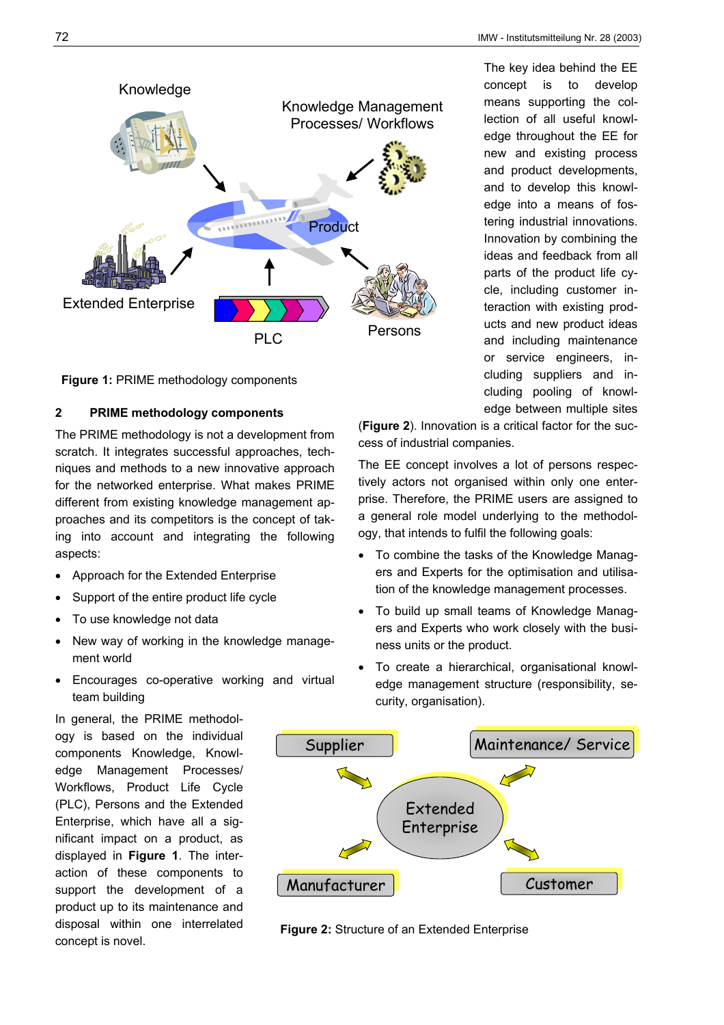

**Figure 1: PRIME methodology components** 

# **2 PRIME methodology components**

The PRIME methodology is not a development from scratch. It integrates successful approaches, techniques and methods to a new innovative approach for the networked enterprise. What makes PRIME different from existing knowledge management approaches and its competitors is the concept of taking into account and integrating the following aspects:

- Approach for the Extended Enterprise
- Support of the entire product life cycle
- To use knowledge not data
- New way of working in the knowledge management world
- Encourages co-operative working and virtual team building

In general, the PRIME methodology is based on the individual components Knowledge, Knowledge Management Processes/ Workflows, Product Life Cycle (PLC), Persons and the Extended Enterprise, which have all a significant impact on a product, as displayed in **Figure 1**. The interaction of these components to support the development of a product up to its maintenance and disposal within one interrelated concept is novel.

The key idea behind the EE concept is to develop means supporting the collection of all useful knowledge throughout the EE for new and existing process and product developments, and to develop this knowledge into a means of fostering industrial innovations. Innovation by combining the ideas and feedback from all parts of the product life cycle, including customer interaction with existing products and new product ideas and including maintenance or service engineers, including suppliers and including pooling of knowledge between multiple sites

(**Figure 2**). Innovation is a critical factor for the success of industrial companies.

The EE concept involves a lot of persons respectively actors not organised within only one enterprise. Therefore, the PRIME users are assigned to a general role model underlying to the methodology, that intends to fulfil the following goals:

- To combine the tasks of the Knowledge Managers and Experts for the optimisation and utilisation of the knowledge management processes.
- To build up small teams of Knowledge Managers and Experts who work closely with the business units or the product.
- To create a hierarchical, organisational knowledge management structure (responsibility, security, organisation).



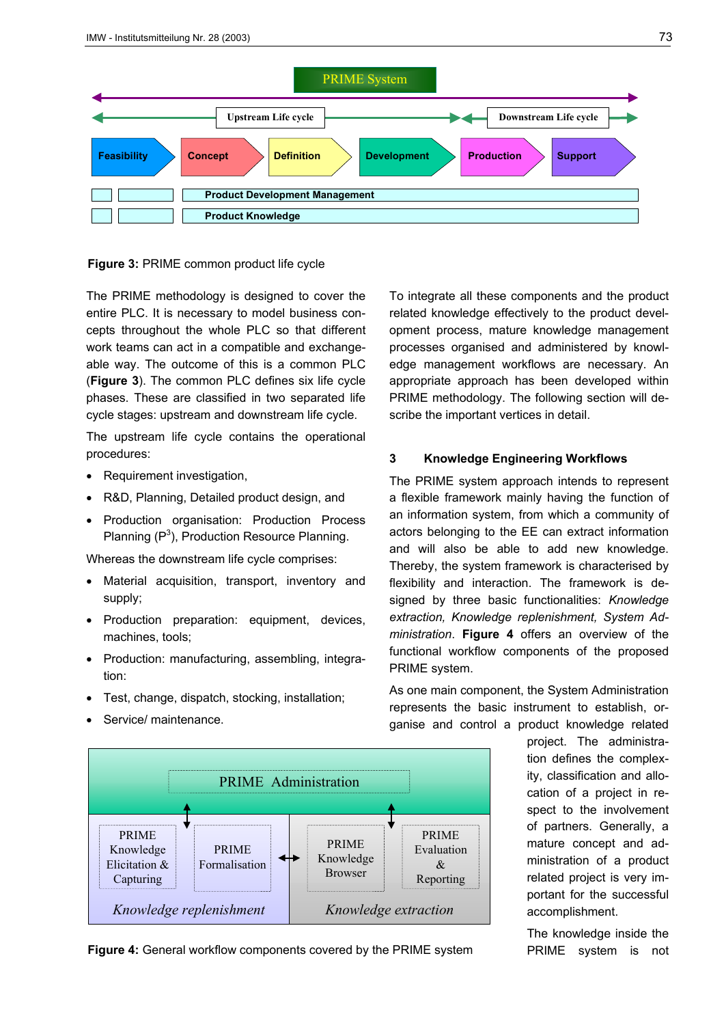

**Figure 3:** PRIME common product life cycle

The PRIME methodology is designed to cover the entire PLC. It is necessary to model business concepts throughout the whole PLC so that different work teams can act in a compatible and exchangeable way. The outcome of this is a common PLC (**Figure 3**). The common PLC defines six life cycle phases. These are classified in two separated life cycle stages: upstream and downstream life cycle.

The upstream life cycle contains the operational procedures:

- Requirement investigation,
- R&D, Planning, Detailed product design, and
- Production organisation: Production Process Planning  $(P^3)$ , Production Resource Planning.

Whereas the downstream life cycle comprises:

- Material acquisition, transport, inventory and supply;
- Production preparation: equipment, devices, machines, tools;
- Production: manufacturing, assembling, integration:
- Test, change, dispatch, stocking, installation;
- Service/ maintenance.

To integrate all these components and the product related knowledge effectively to the product development process, mature knowledge management processes organised and administered by knowledge management workflows are necessary. An appropriate approach has been developed within PRIME methodology. The following section will describe the important vertices in detail.

## **3 Knowledge Engineering Workflows**

The PRIME system approach intends to represent a flexible framework mainly having the function of an information system, from which a community of actors belonging to the EE can extract information and will also be able to add new knowledge. Thereby, the system framework is characterised by flexibility and interaction. The framework is designed by three basic functionalities: *Knowledge extraction, Knowledge replenishment, System Administration*. **Figure 4** offers an overview of the functional workflow components of the proposed PRIME system.

As one main component, the System Administration represents the basic instrument to establish, organise and control a product knowledge related

> project. The administration defines the complexity, classification and allocation of a project in respect to the involvement of partners. Generally, a mature concept and administration of a product related project is very important for the successful accomplishment.

> The knowledge inside the PRIME system is not



**Figure 4:** General workflow components covered by the PRIME system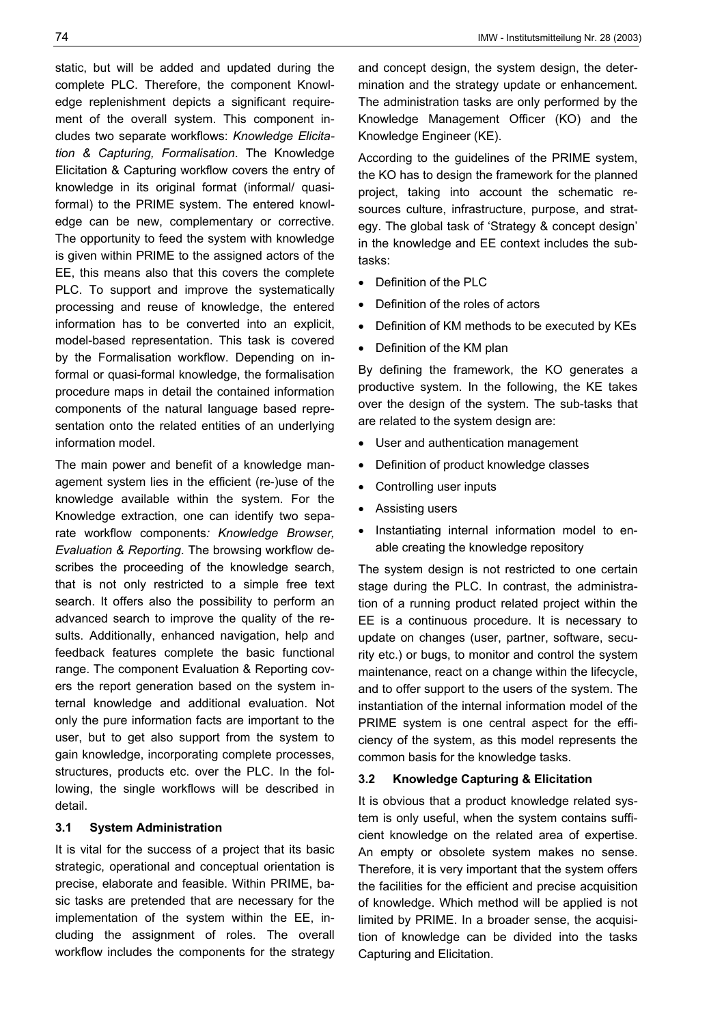static, but will be added and updated during the complete PLC. Therefore, the component Knowledge replenishment depicts a significant requirement of the overall system. This component includes two separate workflows: *Knowledge Elicitation & Capturing, Formalisation*. The Knowledge Elicitation & Capturing workflow covers the entry of knowledge in its original format (informal/ quasiformal) to the PRIME system. The entered knowledge can be new, complementary or corrective. The opportunity to feed the system with knowledge is given within PRIME to the assigned actors of the EE, this means also that this covers the complete PLC. To support and improve the systematically processing and reuse of knowledge, the entered information has to be converted into an explicit, model-based representation. This task is covered by the Formalisation workflow. Depending on informal or quasi-formal knowledge, the formalisation procedure maps in detail the contained information components of the natural language based representation onto the related entities of an underlying information model.

The main power and benefit of a knowledge management system lies in the efficient (re-)use of the knowledge available within the system. For the Knowledge extraction, one can identify two separate workflow components*: Knowledge Browser, Evaluation & Reporting*. The browsing workflow describes the proceeding of the knowledge search, that is not only restricted to a simple free text search. It offers also the possibility to perform an advanced search to improve the quality of the results. Additionally, enhanced navigation, help and feedback features complete the basic functional range. The component Evaluation & Reporting covers the report generation based on the system internal knowledge and additional evaluation. Not only the pure information facts are important to the user, but to get also support from the system to gain knowledge, incorporating complete processes, structures, products etc. over the PLC. In the following, the single workflows will be described in detail.

## **3.1 System Administration**

It is vital for the success of a project that its basic strategic, operational and conceptual orientation is precise, elaborate and feasible. Within PRIME, basic tasks are pretended that are necessary for the implementation of the system within the EE, including the assignment of roles. The overall workflow includes the components for the strategy and concept design, the system design, the determination and the strategy update or enhancement. The administration tasks are only performed by the Knowledge Management Officer (KO) and the Knowledge Engineer (KE).

According to the guidelines of the PRIME system, the KO has to design the framework for the planned project, taking into account the schematic resources culture, infrastructure, purpose, and strategy. The global task of 'Strategy & concept design' in the knowledge and EE context includes the subtasks:

- Definition of the PLC
- Definition of the roles of actors
- Definition of KM methods to be executed by KEs
- Definition of the KM plan

By defining the framework, the KO generates a productive system. In the following, the KE takes over the design of the system. The sub-tasks that are related to the system design are:

- User and authentication management
- Definition of product knowledge classes
- Controlling user inputs
- Assisting users
- Instantiating internal information model to enable creating the knowledge repository

The system design is not restricted to one certain stage during the PLC. In contrast, the administration of a running product related project within the EE is a continuous procedure. It is necessary to update on changes (user, partner, software, security etc.) or bugs, to monitor and control the system maintenance, react on a change within the lifecycle, and to offer support to the users of the system. The instantiation of the internal information model of the PRIME system is one central aspect for the efficiency of the system, as this model represents the common basis for the knowledge tasks.

# **3.2 Knowledge Capturing & Elicitation**

It is obvious that a product knowledge related system is only useful, when the system contains sufficient knowledge on the related area of expertise. An empty or obsolete system makes no sense. Therefore, it is very important that the system offers the facilities for the efficient and precise acquisition of knowledge. Which method will be applied is not limited by PRIME. In a broader sense, the acquisition of knowledge can be divided into the tasks Capturing and Elicitation.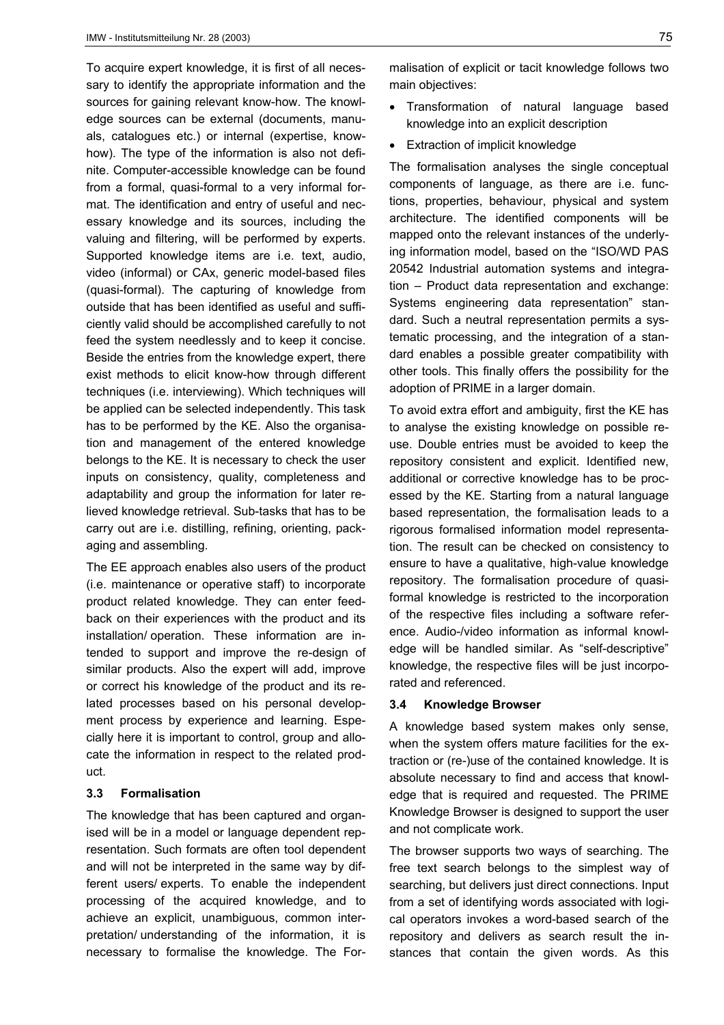To acquire expert knowledge, it is first of all necessary to identify the appropriate information and the sources for gaining relevant know-how. The knowledge sources can be external (documents, manuals, catalogues etc.) or internal (expertise, knowhow). The type of the information is also not definite. Computer-accessible knowledge can be found from a formal, quasi-formal to a very informal format. The identification and entry of useful and necessary knowledge and its sources, including the valuing and filtering, will be performed by experts. Supported knowledge items are i.e. text, audio, video (informal) or CAx, generic model-based files (quasi-formal). The capturing of knowledge from outside that has been identified as useful and sufficiently valid should be accomplished carefully to not feed the system needlessly and to keep it concise. Beside the entries from the knowledge expert, there exist methods to elicit know-how through different techniques (i.e. interviewing). Which techniques will be applied can be selected independently. This task has to be performed by the KE. Also the organisation and management of the entered knowledge belongs to the KE. It is necessary to check the user inputs on consistency, quality, completeness and adaptability and group the information for later relieved knowledge retrieval. Sub-tasks that has to be carry out are i.e. distilling, refining, orienting, packaging and assembling.

The EE approach enables also users of the product (i.e. maintenance or operative staff) to incorporate product related knowledge. They can enter feedback on their experiences with the product and its installation/ operation. These information are intended to support and improve the re-design of similar products. Also the expert will add, improve or correct his knowledge of the product and its related processes based on his personal development process by experience and learning. Especially here it is important to control, group and allocate the information in respect to the related product.

### **3.3 Formalisation**

The knowledge that has been captured and organised will be in a model or language dependent representation. Such formats are often tool dependent and will not be interpreted in the same way by different users/ experts. To enable the independent processing of the acquired knowledge, and to achieve an explicit, unambiguous, common interpretation/ understanding of the information, it is necessary to formalise the knowledge. The Formalisation of explicit or tacit knowledge follows two main objectives:

- Transformation of natural language based knowledge into an explicit description
- Extraction of implicit knowledge

The formalisation analyses the single conceptual components of language, as there are i.e. functions, properties, behaviour, physical and system architecture. The identified components will be mapped onto the relevant instances of the underlying information model, based on the "ISO/WD PAS 20542 Industrial automation systems and integration – Product data representation and exchange: Systems engineering data representation" standard. Such a neutral representation permits a systematic processing, and the integration of a standard enables a possible greater compatibility with other tools. This finally offers the possibility for the adoption of PRIME in a larger domain.

To avoid extra effort and ambiguity, first the KE has to analyse the existing knowledge on possible reuse. Double entries must be avoided to keep the repository consistent and explicit. Identified new, additional or corrective knowledge has to be processed by the KE. Starting from a natural language based representation, the formalisation leads to a rigorous formalised information model representation. The result can be checked on consistency to ensure to have a qualitative, high-value knowledge repository. The formalisation procedure of quasiformal knowledge is restricted to the incorporation of the respective files including a software reference. Audio-/video information as informal knowledge will be handled similar. As "self-descriptive" knowledge, the respective files will be just incorporated and referenced.

#### **3.4 Knowledge Browser**

A knowledge based system makes only sense, when the system offers mature facilities for the extraction or (re-)use of the contained knowledge. It is absolute necessary to find and access that knowledge that is required and requested. The PRIME Knowledge Browser is designed to support the user and not complicate work.

The browser supports two ways of searching. The free text search belongs to the simplest way of searching, but delivers just direct connections. Input from a set of identifying words associated with logical operators invokes a word-based search of the repository and delivers as search result the instances that contain the given words. As this